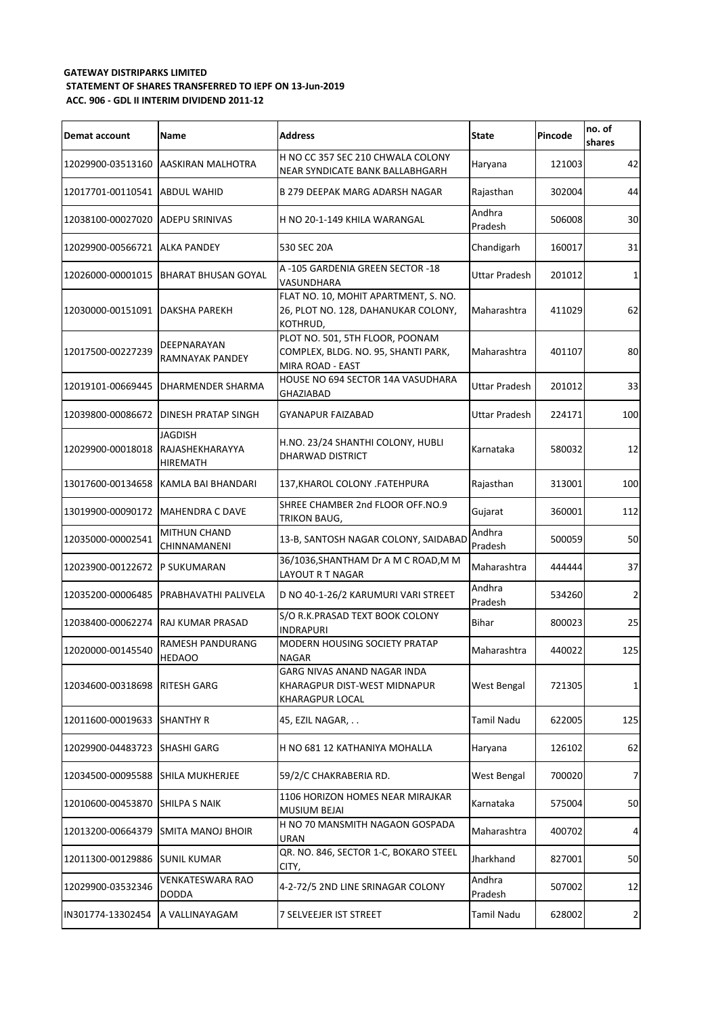## **GATEWAY DISTRIPARKS LIMITED STATEMENT OF SHARES TRANSFERRED TO IEPF ON 13-Jun-2019 ACC. 906 - GDL II INTERIM DIVIDEND 2011-12**

| Demat account                 | <b>Name</b>                                          | <b>Address</b>                                                                             | <b>State</b>         | Pincode | no. of<br>shares |
|-------------------------------|------------------------------------------------------|--------------------------------------------------------------------------------------------|----------------------|---------|------------------|
|                               | 12029900-03513160 AASKIRAN MALHOTRA                  | H NO CC 357 SEC 210 CHWALA COLONY<br>NEAR SYNDICATE BANK BALLABHGARH                       | Haryana              | 121003  | 42               |
| 12017701-00110541             | <b>ABDUL WAHID</b>                                   | <b>B 279 DEEPAK MARG ADARSH NAGAR</b>                                                      | Rajasthan            | 302004  | 44               |
| 12038100-00027020             | <b>ADEPU SRINIVAS</b>                                | H NO 20-1-149 KHILA WARANGAL                                                               | Andhra<br>Pradesh    | 506008  | 30               |
| 12029900-00566721             | <b>JALKA PANDEY</b>                                  | 530 SEC 20A                                                                                | Chandigarh           | 160017  | 31               |
| 12026000-00001015             | BHARAT BHUSAN GOYAL                                  | A-105 GARDENIA GREEN SECTOR -18<br>VASUNDHARA                                              | <b>Uttar Pradesh</b> | 201012  | 1                |
| 12030000-00151091             | <b>DAKSHA PAREKH</b>                                 | FLAT NO. 10, MOHIT APARTMENT, S. NO.<br>26, PLOT NO. 128, DAHANUKAR COLONY,<br>KOTHRUD,    | Maharashtra          | 411029  | 62               |
| 12017500-00227239             | DEEPNARAYAN<br>RAMNAYAK PANDEY                       | PLOT NO. 501, 5TH FLOOR, POONAM<br>COMPLEX, BLDG. NO. 95, SHANTI PARK,<br>MIRA ROAD - EAST | Maharashtra          | 401107  | 80               |
| 12019101-00669445             | <b>DHARMENDER SHARMA</b>                             | HOUSE NO 694 SECTOR 14A VASUDHARA<br><b>GHAZIABAD</b>                                      | <b>Uttar Pradesh</b> | 201012  | 33               |
| 12039800-00086672             | <b>DINESH PRATAP SINGH</b>                           | <b>GYANAPUR FAIZABAD</b>                                                                   | <b>Uttar Pradesh</b> | 224171  | 100              |
| 12029900-00018018             | <b>JAGDISH</b><br>RAJASHEKHARAYYA<br><b>HIREMATH</b> | H.NO. 23/24 SHANTHI COLONY, HUBLI<br><b>DHARWAD DISTRICT</b>                               | Karnataka            | 580032  | 12               |
| 13017600-00134658             | KAMLA BAI BHANDARI                                   | 137, KHAROL COLONY . FATEHPURA                                                             | Rajasthan            | 313001  | 100              |
| 13019900-00090172             | <b>MAHENDRA C DAVE</b>                               | SHREE CHAMBER 2nd FLOOR OFF.NO.9<br><b>TRIKON BAUG,</b>                                    | Gujarat              | 360001  | 112              |
| 12035000-00002541             | <b>MITHUN CHAND</b><br>CHINNAMANENI                  | 13-B, SANTOSH NAGAR COLONY, SAIDABAD                                                       | Andhra<br>Pradesh    | 500059  | 50               |
| 12023900-00122672 P SUKUMARAN |                                                      | 36/1036, SHANTHAM Dr A M C ROAD, M M<br><b>LAYOUT R T NAGAR</b>                            | Maharashtra          | 444444  | 37               |
| 12035200-00006485             | <b>PRABHAVATHI PALIVELA</b>                          | D NO 40-1-26/2 KARUMURI VARI STREET                                                        | Andhra<br>Pradesh    | 534260  | $\overline{2}$   |
| 12038400-00062274             | <b>RAJ KUMAR PRASAD</b>                              | S/O R.K.PRASAD TEXT BOOK COLONY<br><b>INDRAPURI</b>                                        | <b>Bihar</b>         | 800023  | 25               |
| 12020000-00145540             | RAMESH PANDURANG<br><b>HEDAOO</b>                    | <b>MODERN HOUSING SOCIETY PRATAP</b><br><b>NAGAR</b>                                       | Maharashtra          | 440022  | 125              |
| 12034600-00318698             | <b>RITESH GARG</b>                                   | GARG NIVAS ANAND NAGAR INDA<br>KHARAGPUR DIST-WEST MIDNAPUR<br><b>KHARAGPUR LOCAL</b>      | West Bengal          | 721305  | 1                |
| 12011600-00019633             | <b>SHANTHY R</b>                                     | 45, EZIL NAGAR,                                                                            | <b>Tamil Nadu</b>    | 622005  | 125              |
| 12029900-04483723             | <b>SHASHI GARG</b>                                   | H NO 681 12 KATHANIYA MOHALLA                                                              | Haryana              | 126102  | 62               |
| 12034500-00095588             | <b>SHILA MUKHERJEE</b>                               | 59/2/C CHAKRABERIA RD.                                                                     | West Bengal          | 700020  | 7 <sup>1</sup>   |
| 12010600-00453870             | <b>SHILPA S NAIK</b>                                 | 1106 HORIZON HOMES NEAR MIRAJKAR<br><b>MUSIUM BEJAI</b>                                    | Karnataka            | 575004  | 50               |
| 12013200-00664379             | <b>SMITA MANOJ BHOIR</b>                             | H NO 70 MANSMITH NAGAON GOSPADA<br><b>URAN</b>                                             | Maharashtra          | 400702  | 4                |
| 12011300-00129886             | <b>SUNIL KUMAR</b>                                   | QR. NO. 846, SECTOR 1-C, BOKARO STEEL<br>CITY,                                             | Jharkhand            | 827001  | 50               |
| 12029900-03532346             | <b>VENKATESWARA RAO</b><br><b>DODDA</b>              | 4-2-72/5 2ND LINE SRINAGAR COLONY                                                          | Andhra<br>Pradesh    | 507002  | 12               |
| IN301774-13302454             | A VALLINAYAGAM                                       | 7 SELVEEJER IST STREET                                                                     | Tamil Nadu           | 628002  | $\overline{2}$   |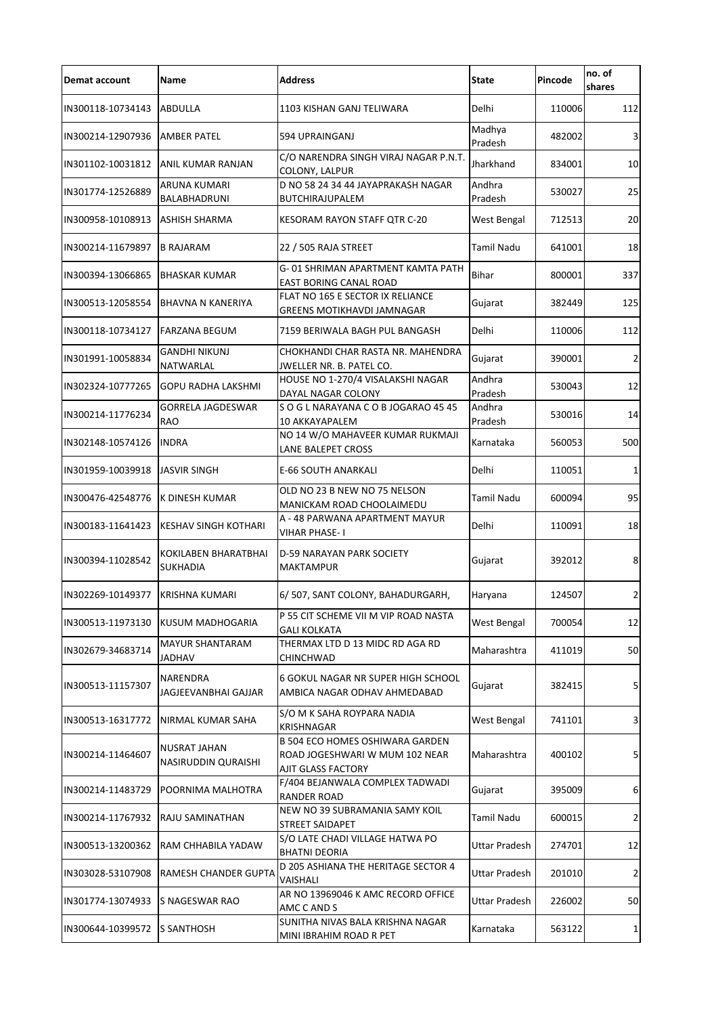| Demat account                    | <b>Name</b>                                    | <b>Address</b>                                                                                        | <b>State</b>         | Pincode | no. of<br>shares |
|----------------------------------|------------------------------------------------|-------------------------------------------------------------------------------------------------------|----------------------|---------|------------------|
| IN300118-10734143                | <b>ABDULLA</b>                                 | 1103 KISHAN GANJ TELIWARA                                                                             | Delhi                | 110006  | 112              |
| IN300214-12907936                | <b>AMBER PATEL</b>                             | 594 UPRAINGANJ                                                                                        | Madhya<br>Pradesh    | 482002  | $\overline{3}$   |
| IN301102-10031812                | ANIL KUMAR RANJAN                              | C/O NARENDRA SINGH VIRAJ NAGAR P.N.T.<br>COLONY, LALPUR                                               | Jharkhand            | 834001  | 10               |
| IN301774-12526889                | ARUNA KUMARI<br>BALABHADRUNI                   | D NO 58 24 34 44 JAYAPRAKASH NAGAR<br>BUTCHIRAJUPALEM                                                 | Andhra<br>Pradesh    | 530027  | 25               |
| IN300958-10108913                | <b>ASHISH SHARMA</b>                           | KESORAM RAYON STAFF QTR C-20                                                                          | West Bengal          | 712513  | 20               |
| IN300214-11679897                | <b>B RAJARAM</b>                               | 22 / 505 RAJA STREET                                                                                  | <b>Tamil Nadu</b>    | 641001  | 18               |
| IN300394-13066865                | <b>BHASKAR KUMAR</b>                           | G-01 SHRIMAN APARTMENT KAMTA PATH<br><b>EAST BORING CANAL ROAD</b>                                    | <b>Bihar</b>         | 800001  | 337              |
| IN300513-12058554                | <b>BHAVNA N KANERIYA</b>                       | FLAT NO 165 E SECTOR IX RELIANCE<br><b>GREENS MOTIKHAVDI JAMNAGAR</b>                                 | Gujarat              | 382449  | 125              |
| IN300118-10734127                | FARZANA BEGUM                                  | 7159 BERIWALA BAGH PUL BANGASH                                                                        | Delhi                | 110006  | 112              |
| IN301991-10058834                | <b>GANDHI NIKUNJ</b><br>NATWARLAL              | CHOKHANDI CHAR RASTA NR. MAHENDRA<br>JWELLER NR. B. PATEL CO.                                         | Gujarat              | 390001  | $\overline{2}$   |
| IN302324-10777265                | <b>GOPU RADHA LAKSHMI</b>                      | HOUSE NO 1-270/4 VISALAKSHI NAGAR<br>DAYAL NAGAR COLONY                                               | Andhra<br>Pradesh    | 530043  | 12               |
| IN300214-11776234                | <b>GORRELA JAGDESWAR</b><br><b>RAO</b>         | SOGL NARAYANA COBJOGARAO 45 45<br>10 AKKAYAPALEM                                                      | Andhra<br>Pradesh    | 530016  | 14               |
| IN302148-10574126                | <b>INDRA</b>                                   | NO 14 W/O MAHAVEER KUMAR RUKMAJI<br>LANE BALEPET CROSS                                                | Karnataka            | 560053  | 500              |
| IN301959-10039918                | <b>JASVIR SINGH</b>                            | <b>E-66 SOUTH ANARKALI</b>                                                                            | Delhi                | 110051  | $\mathbf{1}$     |
| IN300476-42548776 K DINESH KUMAR |                                                | OLD NO 23 B NEW NO 75 NELSON<br>MANICKAM ROAD CHOOLAIMEDU                                             | Tamil Nadu           | 600094  | 95               |
| IN300183-11641423                | <b>KESHAV SINGH KOTHARI</b>                    | A - 48 PARWANA APARTMENT MAYUR<br><b>VIHAR PHASE-1</b>                                                | Delhi                | 110091  | 18               |
| IN300394-11028542                | <b>KOKILABEN BHARATBHAI</b><br><b>SUKHADIA</b> | <b>D-59 NARAYAN PARK SOCIETY</b><br><b>MAKTAMPUR</b>                                                  | Gujarat              | 392012  | 8                |
| IN302269-10149377                | <b>KRISHNA KUMARI</b>                          | 6/507, SANT COLONY, BAHADURGARH,                                                                      | Haryana              | 124507  | $\overline{2}$   |
| IN300513-11973130                | <b>KUSUM MADHOGARIA</b>                        | P 55 CIT SCHEME VII M VIP ROAD NASTA<br><b>GALI KOLKATA</b>                                           | West Bengal          | 700054  | 12               |
| IN302679-34683714                | <b>MAYUR SHANTARAM</b><br><b>JADHAV</b>        | THERMAX LTD D 13 MIDC RD AGA RD<br>CHINCHWAD                                                          | Maharashtra          | 411019  | 50               |
| IN300513-11157307                | <b>NARENDRA</b><br>JAGJEEVANBHAI GAJJAR        | 6 GOKUL NAGAR NR SUPER HIGH SCHOOL<br>AMBICA NAGAR ODHAV AHMEDABAD                                    | Gujarat              | 382415  | 5                |
| IN300513-16317772                | <b>NIRMAL KUMAR SAHA</b>                       | S/O M K SAHA ROYPARA NADIA<br><b>KRISHNAGAR</b>                                                       | West Bengal          | 741101  | 3                |
| IN300214-11464607                | <b>NUSRAT JAHAN</b><br>NASIRUDDIN QURAISHI     | <b>B 504 ECO HOMES OSHIWARA GARDEN</b><br>ROAD JOGESHWARI W MUM 102 NEAR<br><b>AJIT GLASS FACTORY</b> | Maharashtra          | 400102  | 5                |
| IN300214-11483729                | POORNIMA MALHOTRA                              | F/404 BEJANWALA COMPLEX TADWADI<br><b>RANDER ROAD</b>                                                 | Gujarat              | 395009  | 6                |
| IN300214-11767932                | <b>RAJU SAMINATHAN</b>                         | NEW NO 39 SUBRAMANIA SAMY KOIL<br>STREET SAIDAPET                                                     | <b>Tamil Nadu</b>    | 600015  | $\overline{2}$   |
| IN300513-13200362                | RAM CHHABILA YADAW                             | S/O LATE CHADI VILLAGE HATWA PO<br><b>BHATNI DEORIA</b>                                               | <b>Uttar Pradesh</b> | 274701  | 12               |
| IN303028-53107908                | RAMESH CHANDER GUPTA                           | D 205 ASHIANA THE HERITAGE SECTOR 4<br><b>VAISHALI</b>                                                | <b>Uttar Pradesh</b> | 201010  | $\overline{2}$   |
| IN301774-13074933                | <b>S NAGESWAR RAO</b>                          | AR NO 13969046 K AMC RECORD OFFICE<br>AMC C AND S                                                     | <b>Uttar Pradesh</b> | 226002  | 50               |
| IN300644-10399572 S SANTHOSH     |                                                | SUNITHA NIVAS BALA KRISHNA NAGAR<br>MINI IBRAHIM ROAD R PET                                           | Karnataka            | 563122  | 1 <sup>1</sup>   |